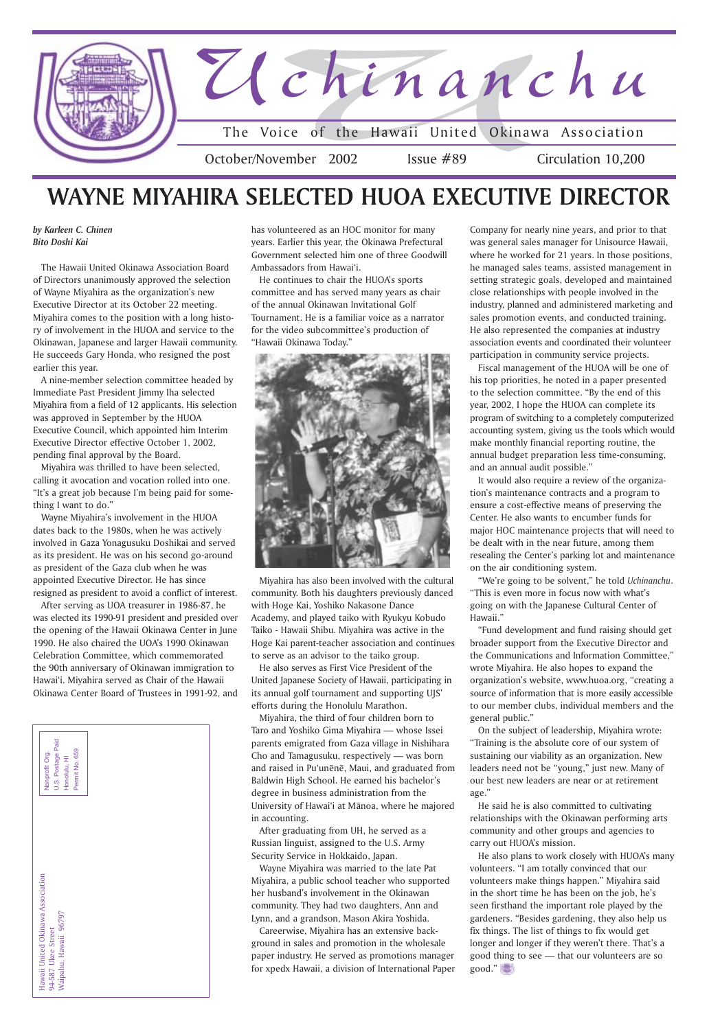Hawaii United Okinawa Association<br>94-587 Ukee Street<br>Waipahu, Hawaii 96797 Hawaii United Okinawa Association Waipahu, Hawaii 96797 94-587 Ukee Street





*by Karleen C. Chinen Bito Doshi Kai*

The Hawaii United Okinawa Association Board of Directors unanimously approved the selection of Wayne Miyahira as the organization's new Executive Director at its October 22 meeting. Miyahira comes to the position with a long history of involvement in the HUOA and service to the Okinawan, Japanese and larger Hawaii community. He succeeds Gary Honda, who resigned the post earlier this year.

A nine-member selection committee headed by Immediate Past President Jimmy Iha selected Miyahira from a field of 12 applicants. His selection was approved in September by the HUOA Executive Council, which appointed him Interim Executive Director effective October 1, 2002, pending final approval by the Board.

Miyahira was thrilled to have been selected, calling it avocation and vocation rolled into one. "It's a great job because I'm being paid for something I want to do."

Wayne Miyahira's involvement in the HUOA dates back to the 1980s, when he was actively involved in Gaza Yonagusuku Doshikai and served as its president. He was on his second go-around as president of the Gaza club when he was appointed Executive Director. He has since resigned as president to avoid a conflict of interest.

After serving as UOA treasurer in 1986-87, he was elected its 1990-91 president and presided over the opening of the Hawaii Okinawa Center in June 1990. He also chaired the UOA's 1990 Okinawan Celebration Committee, which commemorated the 90th anniversary of Okinawan immigration to Hawai'i. Miyahira served as Chair of the Hawaii Okinawa Center Board of Trustees in 1991-92, and

has volunteered as an HOC monitor for many years. Earlier this year, the Okinawa Prefectural Government selected him one of three Goodwill Ambassadors from Hawai'i.

He continues to chair the HUOA's sports committee and has served many years as chair of the annual Okinawan Invitational Golf Tournament. He is a familiar voice as a narrator for the video subcommittee's production of "Hawaii Okinawa Today."



Miyahira has also been involved with the cultural community. Both his daughters previously danced with Hoge Kai, Yoshiko Nakasone Dance Academy, and played taiko with Ryukyu Kobudo Taiko - Hawaii Shibu. Miyahira was active in the Hoge Kai parent-teacher association and continues to serve as an advisor to the taiko group.

He also serves as First Vice President of the United Japanese Society of Hawaii, participating in its annual golf tournament and supporting UJS' efforts during the Honolulu Marathon.

Miyahira, the third of four children born to Taro and Yoshiko Gima Miyahira — whose Issei parents emigrated from Gaza village in Nishihara Cho and Tamagusuku, respectively — was born and raised in Pu'unēnē, Maui, and graduated from Baldwin High School. He earned his bachelor's degree in business administration from the University of Hawai'i at Mānoa, where he majored in accounting.

After graduating from UH, he served as a Russian linguist, assigned to the U.S. Army Security Service in Hokkaido, Japan.

Wayne Miyahira was married to the late Pat Miyahira, a public school teacher who supported her husband's involvement in the Okinawan community. They had two daughters, Ann and Lynn, and a grandson, Mason Akira Yoshida. Careerwise, Miyahira has an extensive background in sales and promotion in the wholesale paper industry. He served as promotions manager for xpedx Hawaii, a division of International Paper

## **WAYNE MIYAHIRA SELECTED HUOA EXECUTIVE DIRECTOR**

Company for nearly nine years, and prior to that was general sales manager for Unisource Hawaii, where he worked for 21 years. In those positions, he managed sales teams, assisted management in setting strategic goals, developed and maintained close relationships with people involved in the industry, planned and administered marketing and sales promotion events, and conducted training. He also represented the companies at industry association events and coordinated their volunteer participation in community service projects.

Fiscal management of the HUOA will be one of his top priorities, he noted in a paper presented to the selection committee. "By the end of this year, 2002, I hope the HUOA can complete its program of switching to a completely computerized accounting system, giving us the tools which would make monthly financial reporting routine, the annual budget preparation less time-consuming, and an annual audit possible."

It would also require a review of the organization's maintenance contracts and a program to ensure a cost-effective means of preserving the Center. He also wants to encumber funds for major HOC maintenance projects that will need to be dealt with in the near future, among them resealing the Center's parking lot and maintenance on the air conditioning system.

"We're going to be solvent," he told *Uchinanchu*. "This is even more in focus now with what's going on with the Japanese Cultural Center of Hawaii."

"Fund development and fund raising should get broader support from the Executive Director and the Communications and Information Committee," wrote Miyahira. He also hopes to expand the organization's website, www.huoa.org, "creating a source of information that is more easily accessible to our member clubs, individual members and the general public."

On the subject of leadership, Miyahira wrote: "Training is the absolute core of our system of sustaining our viability as an organization. New leaders need not be "young," just new. Many of our best new leaders are near or at retirement age."

He said he is also committed to cultivating relationships with the Okinawan performing arts community and other groups and agencies to carry out HUOA's mission.

He also plans to work closely with HUOA's many volunteers. "I am totally convinced that our volunteers make things happen." Miyahira said in the short time he has been on the job, he's seen firsthand the important role played by the gardeners. "Besides gardening, they also help us fix things. The list of things to fix would get longer and longer if they weren't there. That's a good thing to see — that our volunteers are so good."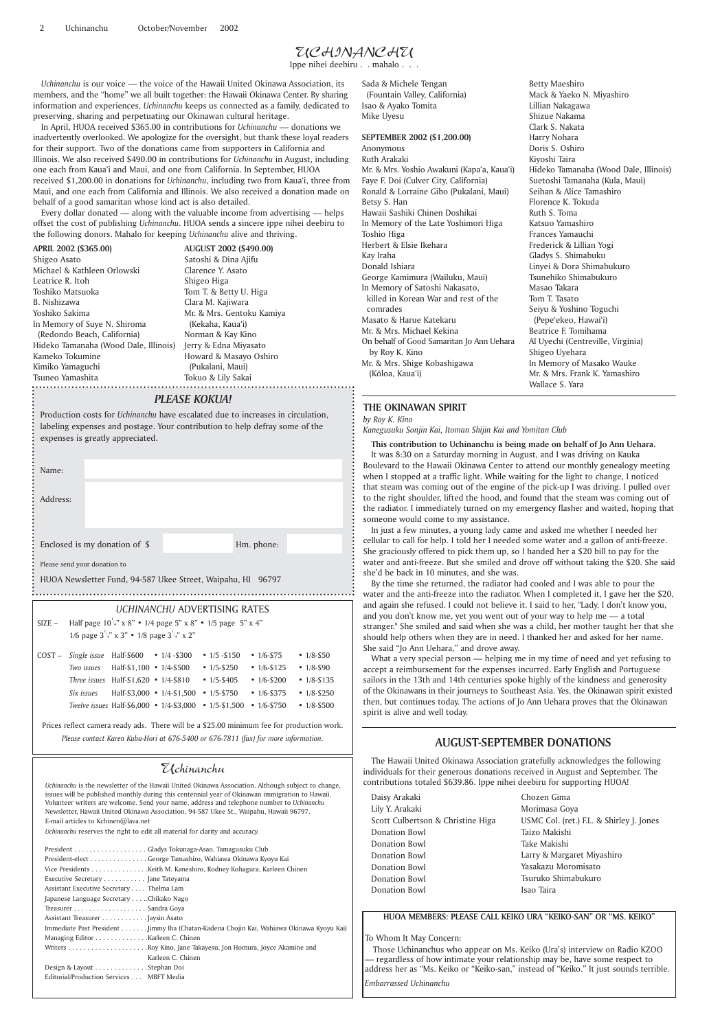#### Uchinanchu

*Uchinanchu* is the newsletter of the Hawaii United Okinawa Association. Although subject to change, issues will be published monthly during this centennial year of Okinawan immigration to Hawaii. Volunteer writers are welcome. Send your name, address and telephone number to *Uchinanchu* Newsletter, Hawaii United Okinawa Association, 94-587 Ukee St., Waipahu, Hawaii 96797. E-mail articles to Kchinen@lava.net

*Uchinanchu* reserves the right to edit all material for clarity and accuracy.

#### *PLEASE KOKUA!*

Production costs for *Uchinanchu* have escalated due to increases in circulation, labeling expenses and postage. Your contribution to help defray some of the expenses is greatly appreciated.

*Uchinanchu* is our voice — the voice of the Hawaii United Okinawa Association, its members, and the "home" we all built together: the Hawaii Okinawa Center. By sharing information and experiences, *Uchinanchu* keeps us connected as a family, dedicated to preserving, sharing and perpetuating our Okinawan cultural heritage.

> **SEPTEMBER 2002 (\$1,200.00)** Anonymous Ruth Arakaki Mr. & Mrs. Yoshio Awakuni (Kapa'a, Kaua'i) Faye F. Doi (Culver City, California) Ronald & Lorraine Gibo (Pukalani, Maui) Betsy S. Han Hawaii Sashiki Chinen Doshikai In Memory of the Late Yoshimori Higa Toshio Higa Herbert & Elsie Ikehara Kay Iraha Donald Ishiara George Kamimura (Wailuku, Maui) In Memory of Satoshi Nakasato, killed in Korean War and rest of the comrades Masato & Harue Katekaru Mr. & Mrs. Michael Kekina On behalf of Good Samaritan Jo Ann Uehara by Roy K. Kino Mr. & Mrs. Shige Kobashigawa (Kōloa, Kaua'i)

In April, HUOA received \$365.00 in contributions for *Uchinanchu* — donations we inadvertently overlooked. We apologize for the oversight, but thank these loyal readers for their support. Two of the donations came from supporters in California and Illinois. We also received \$490.00 in contributions for *Uchinanchu* in August, including one each from Kaua'i and Maui, and one from California. In September, HUOA received \$1,200.00 in donations for *Uchinanchu*, including two from Kaua'i, three from Maui, and one each from California and Illinois. We also received a donation made on behalf of a good samaritan whose kind act is also detailed.

Every dollar donated — along with the valuable income from advertising — helps offset the cost of publishing *Uchinanchu*. HUOA sends a sincere ippe nihei deebiru to the following donors. Mahalo for keeping *Uchinanchu* alive and thriving.

Sada & Michele Tengan (Fountain Valley, California) Isao & Ayako Tomita Mike Uyesu

| Name:                                                                                                                              |                                                                                                                                                                                                                                                                               |                                                                                                                                                             |                                                                                      |
|------------------------------------------------------------------------------------------------------------------------------------|-------------------------------------------------------------------------------------------------------------------------------------------------------------------------------------------------------------------------------------------------------------------------------|-------------------------------------------------------------------------------------------------------------------------------------------------------------|--------------------------------------------------------------------------------------|
| Address:                                                                                                                           |                                                                                                                                                                                                                                                                               |                                                                                                                                                             |                                                                                      |
|                                                                                                                                    | Enclosed is my donation of \$                                                                                                                                                                                                                                                 | Hm. phone:                                                                                                                                                  |                                                                                      |
| Please send your donation to                                                                                                       |                                                                                                                                                                                                                                                                               |                                                                                                                                                             |                                                                                      |
| HUOA Newsletter Fund, 94-587 Ukee Street, Waipahu, HI 96797                                                                        |                                                                                                                                                                                                                                                                               |                                                                                                                                                             |                                                                                      |
|                                                                                                                                    | UCHINANCHU ADVERTISING RATES                                                                                                                                                                                                                                                  |                                                                                                                                                             |                                                                                      |
| Half page $10^{1/4}$ " x 8" • 1/4 page 5" x 8" • 1/5 page 5" x 4"<br>$SIZE -$<br>1/6 page $3^{1/4}$ x 3" • 1/8 page $3^{1/4}$ x 2" |                                                                                                                                                                                                                                                                               |                                                                                                                                                             |                                                                                      |
| $COST -$                                                                                                                           | Single issue Half- $$600 \rightarrow 1/4 - $300$<br>Two issues $\quad$ Half-\$1,100 $\cdot$ 1/4-\$500<br>Three issues Half-\$1,620 • $1/4$ -\$810 • $1/5$ -\$405<br>Six issues Half-\$3,000 • $1/4$ -\$1,500 • $1/5$ -\$750<br>Twelve issues Half-\$6,000 $\cdot$ 1/4-\$3,000 | $\cdot$ 1/5 - \$150<br>$\cdot$ 1/6-\$75<br>• $1/6 - $125$<br>• $1/5 - $250$<br>• $1/6 - $200$<br>• $1/6 - $375$<br>$\cdot$ 1/5-\$1,500<br>$\cdot$ 1/6-\$750 | • $1/8 - 550$<br>• $1/8 - $90$<br>• $1/8 - $135$<br>• $1/8 - $250$<br>• $1/8 - $500$ |

**AUGUST 2002 (\$490.00)** Satoshi & Dina Ajifu Clarence Y. Asato Shigeo Higa Tom T. & Betty U. Higa Clara M. Kajiwara Mr. & Mrs. Gentoku Kamiya (Kekaha, Kaua'i) Norman & Kay Kino Howard & Masayo Oshiro (Pukalani, Maui) Tokuo & Lily Sakai

Hideko Tamanaha (Wood Dale, Illinois) Jerry & Edna Miyasato **APRIL 2002 (\$365.00)** Shigeo Asato Michael & Kathleen Orlowski Leatrice R. Itoh Toshiko Matsuoka B. Nishizawa Yoshiko Sakima In Memory of Suye N. Shiroma (Redondo Beach, California) Kameko Tokumine Kimiko Yamaguchi Tsuneo Yamashita

Betty Maeshiro Mack & Yaeko N. Miyashiro Lillian Nakagawa Shizue Nakama Clark S. Nakata Harry Nohara Doris S. Oshiro Kiyoshi Taira Hideko Tamanaha (Wood Dale, Illinois) Suetoshi Tamanaha (Kula, Maui) Seihan & Alice Tamashiro Florence K. Tokuda Ruth S. Toma Katsuo Yamashiro Frances Yamauchi Frederick & Lillian Yogi Gladys S. Shimabuku Linyei & Dora Shimabukuro Tsunehiko Shimabukuro Masao Takara Tom T. Tasato Seiyu & Yoshino Toguchi (Pepe'ekeo, Hawai'i) Beatrice F. Tomihama Al Uyechi (Centreville, Virginia) Shigeo Uyehara In Memory of Masako Wauke Mr. & Mrs. Frank K. Yamashiro Wallace S. Yara

#### **AUGUST-SEPTEMBER DONATIONS**

The Hawaii United Okinawa Association gratefully acknowledges the following individuals for their generous donations received in August and September. The contributions totaled \$639.86. Ippe nihei deebiru for supporting HUOA!

Daisy Arakaki

Lily Y. Arakaki Scott Culbertson & Christine Higa Donation Bowl Donation Bowl Donation Bowl Donation Bowl Donation Bowl Donation Bowl

Prices reflect camera ready ads. There will be a \$25.00 minimum fee for production work. *Please contact Karen Kuba-Hori at 676-5400 or 676-7811 (fax) for more information.*

| President-elect George Tamashiro, Wahiawa Okinawa Kyoyu Kai                              |
|------------------------------------------------------------------------------------------|
|                                                                                          |
| Executive Secretary Jane Tateyama                                                        |
| Assistant Executive Secretary Thelma Lam                                                 |
| Japanese Language Secretary Chikako Nago                                                 |
|                                                                                          |
| Assistant Treasurer Jaysin Asato                                                         |
| Immediate Past President Jimmy Iha (Chatan-Kadena Chojin Kai, Wahiawa Okinawa Kyoyu Kai) |
| Managing Editor Karleen C. Chinen                                                        |
|                                                                                          |
| Karleen C. Chinen                                                                        |
| Design & Layout Stephan Doi                                                              |
| Editorial/Production Services MBFT Media                                                 |
|                                                                                          |

### UCHINANCHU

Ippe nihei deebiru . . mahalo . . .

**HUOA MEMBERS: PLEASE CALL KEIKO URA "KEIKO-SAN" OR "MS. KEIKO"**

#### To Whom It May Concern:

Those Uchinanchus who appear on Ms. Keiko (Ura's) interview on Radio KZOO — regardless of how intimate your relationship may be, have some respect to address her as "Ms. Keiko or "Keiko-san," instead of "Keiko." It just sounds terrible.

*Embarrassed Uchinanchu*

Chozen Gima Morimasa Goya USMC Col. (ret.) F.L. & Shirley J. Jones Taizo Makishi Take Makishi Larry & Margaret Miyashiro Yasakazu Moromisato Tsuruko Shimabukuro Isao Taira

#### **THE OKINAWAN SPIRIT**

#### *by Roy K. Kino*

*Kanegusuku Sonjin Kai, Itoman Shijin Kai and Yomitan Club*

**This contribution to Uchinanchu is being made on behalf of Jo Ann Uehara.**

It was 8:30 on a Saturday morning in August, and I was driving on Kauka Boulevard to the Hawaii Okinawa Center to attend our monthly genealogy meeting when I stopped at a traffic light. While waiting for the light to change, I noticed that steam was coming out of the engine of the pick-up I was driving. I pulled over to the right shoulder, lifted the hood, and found that the steam was coming out of the radiator. I immediately turned on my emergency flasher and waited, hoping that someone would come to my assistance.

In just a few minutes, a young lady came and asked me whether I needed her cellular to call for help. I told her I needed some water and a gallon of anti-freeze. She graciously offered to pick them up, so I handed her a \$20 bill to pay for the water and anti-freeze. But she smiled and drove off without taking the \$20. She said she'd be back in 10 minutes, and she was.

By the time she returned, the radiator had cooled and I was able to pour the water and the anti-freeze into the radiator. When I completed it, I gave her the \$20, and again she refused. I could not believe it. I said to her, "Lady, I don't know you, and you don't know me, yet you went out of your way to help me — a total stranger." She smiled and said when she was a child, her mother taught her that she should help others when they are in need. I thanked her and asked for her name. She said "Jo Ann Uehara," and drove away.

What a very special person — helping me in my time of need and yet refusing to accept a reimbursement for the expenses incurred. Early English and Portuguese sailors in the 13th and 14th centuries spoke highly of the kindness and generosity of the Okinawans in their journeys to Southeast Asia. Yes, the Okinawan spirit existed then, but continues today. The actions of Jo Ann Uehara proves that the Okinawan spirit is alive and well today.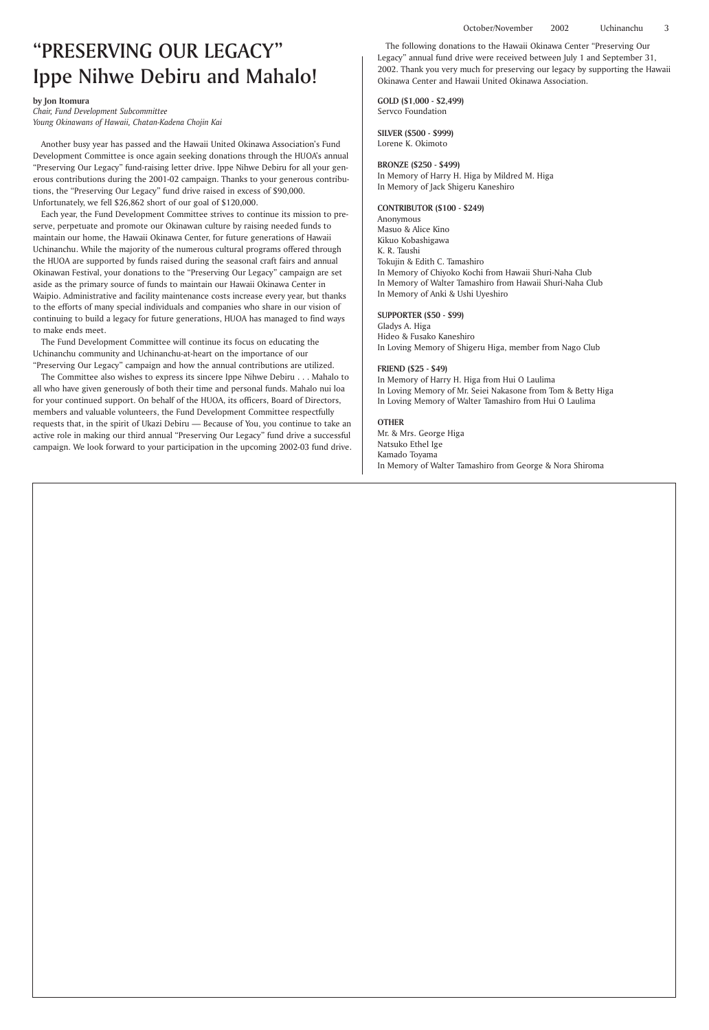#### **by Jon Itomura**

*Chair, Fund Development Subcommittee Young Okinawans of Hawaii, Chatan-Kadena Chojin Kai*

Another busy year has passed and the Hawaii United Okinawa Association's Fund Development Committee is once again seeking donations through the HUOA's annual "Preserving Our Legacy" fund-raising letter drive. Ippe Nihwe Debiru for all your generous contributions during the 2001-02 campaign. Thanks to your generous contributions, the "Preserving Our Legacy" fund drive raised in excess of \$90,000. Unfortunately, we fell \$26,862 short of our goal of \$120,000.

Each year, the Fund Development Committee strives to continue its mission to preserve, perpetuate and promote our Okinawan culture by raising needed funds to maintain our home, the Hawaii Okinawa Center, for future generations of Hawaii Uchinanchu. While the majority of the numerous cultural programs offered through the HUOA are supported by funds raised during the seasonal craft fairs and annual Okinawan Festival, your donations to the "Preserving Our Legacy" campaign are set aside as the primary source of funds to maintain our Hawaii Okinawa Center in Waipio. Administrative and facility maintenance costs increase every year, but thanks to the efforts of many special individuals and companies who share in our vision of continuing to build a legacy for future generations, HUOA has managed to find ways to make ends meet.

The Fund Development Committee will continue its focus on educating the Uchinanchu community and Uchinanchu-at-heart on the importance of our "Preserving Our Legacy" campaign and how the annual contributions are utilized.

The Committee also wishes to express its sincere Ippe Nihwe Debiru . . . Mahalo to all who have given generously of both their time and personal funds. Mahalo nui loa for your continued support. On behalf of the HUOA, its officers, Board of Directors, members and valuable volunteers, the Fund Development Committee respectfully requests that, in the spirit of Ukazi Debiru — Because of You, you continue to take an active role in making our third annual "Preserving Our Legacy" fund drive a successful campaign. We look forward to your participation in the upcoming 2002-03 fund drive.

## "PRESERVING OUR LEGACY" Ippe Nihwe Debiru and Mahalo!

The following donations to the Hawaii Okinawa Center "Preserving Our Legacy" annual fund drive were received between July 1 and September 31, 2002. Thank you very much for preserving our legacy by supporting the Hawaii Okinawa Center and Hawaii United Okinawa Association.

**GOLD (\$1,000 - \$2,499)** Servco Foundation

**SILVER (\$500 - \$999)** Lorene K. Okimoto

#### **BRONZE (\$250 - \$499)**

In Memory of Harry H. Higa by Mildred M. Higa In Memory of Jack Shigeru Kaneshiro

#### **CONTRIBUTOR (\$100 - \$249)**

Anonymous Masuo & Alice Kino Kikuo Kobashigawa K. R. Taushi Tokujin & Edith C. Tamashiro In Memory of Chiyoko Kochi from Hawaii Shuri-Naha Club In Memory of Walter Tamashiro from Hawaii Shuri-Naha Club In Memory of Anki & Ushi Uyeshiro

#### **SUPPORTER (\$50 - \$99)**

Gladys A. Higa Hideo & Fusako Kaneshiro In Loving Memory of Shigeru Higa, member from Nago Club

#### **FRIEND (\$25 - \$49)**

In Memory of Harry H. Higa from Hui O Laulima In Loving Memory of Mr. Seiei Nakasone from Tom & Betty Higa In Loving Memory of Walter Tamashiro from Hui O Laulima

#### **OTHER**

Mr. & Mrs. George Higa Natsuko Ethel Ige Kamado Toyama In Memory of Walter Tamashiro from George & Nora Shiroma

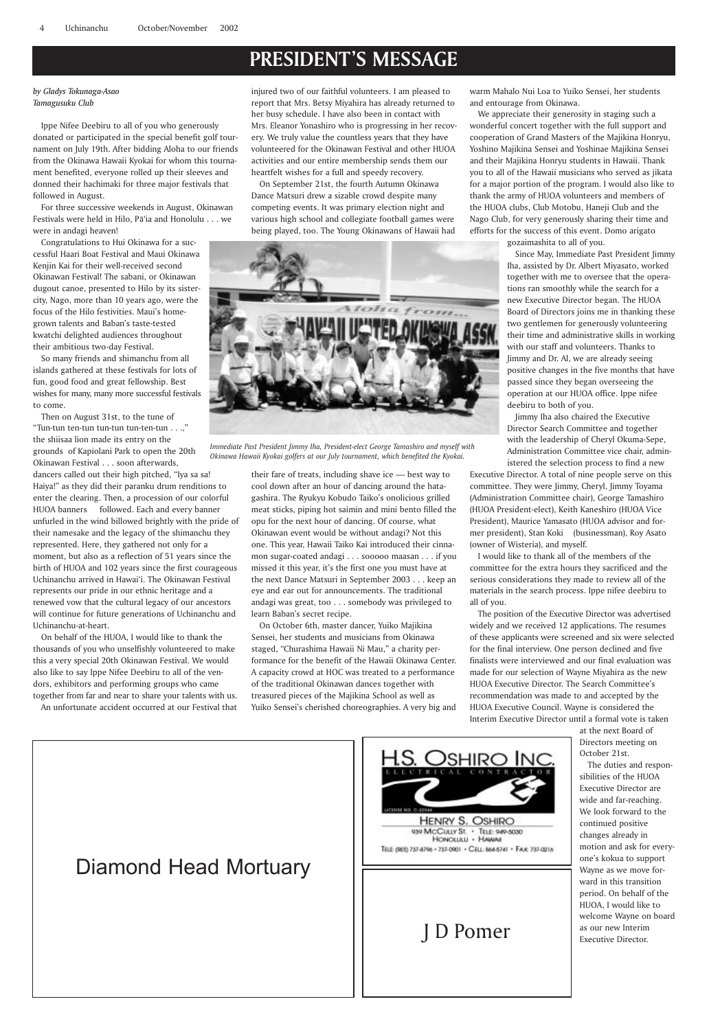## **PRESIDENT'S MESSAGE**

#### *by Gladys Tokunaga-Asao Tamagusuku Club*

Ippe Nifee Deebiru to all of you who generously donated or participated in the special benefit golf tournament on July 19th. After bidding Aloha to our friends from the Okinawa Hawaii Kyokai for whom this tournament benefited, everyone rolled up their sleeves and donned their hachimaki for three major festivals that followed in August.

For three successive weekends in August, Okinawan Festivals were held in Hilo, Pā'ia and Honolulu . . . we were in andagi heaven!

Congratulations to Hui Okinawa for a successful Haari Boat Festival and Maui Okinawa Kenjin Kai for their well-received second Okinawan Festival! The sabani, or Okinawan dugout canoe, presented to Hilo by its sistercity, Nago, more than 10 years ago, were the focus of the Hilo festivities. Maui's homegrown talents and Baban's taste-tested kwatchi delighted audiences throughout their ambitious two-day Festival.

So many friends and shimanchu from all islands gathered at these festivals for lots of fun, good food and great fellowship. Best wishes for many, many more successful festivals to come.

Then on August 31st, to the tune of "Tun-tun ten-tun tun-tun tun-ten-tun . . .," the shiisaa lion made its entry on the grounds of Kapiolani Park to open the 20th Okinawan Festival . . . soon afterwards, dancers called out their high pitched, "Iya sa sa! Haiya!" as they did their paranku drum renditions to enter the clearing. Then, a procession of our colorful HUOA banners followed. Each and every banner unfurled in the wind billowed brightly with the pride of their namesake and the legacy of the shimanchu they represented. Here, they gathered not only for a moment, but also as a reflection of 51 years since the birth of HUOA and 102 years since the first courageous Uchinanchu arrived in Hawai'i. The Okinawan Festival represents our pride in our ethnic heritage and a renewed vow that the cultural legacy of our ancestors will continue for future generations of Uchinanchu and Uchinanchu-at-heart.

On behalf of the HUOA, I would like to thank the thousands of you who unselfishly volunteered to make this a very special 20th Okinawan Festival. We would also like to say Ippe Nifee Deebiru to all of the vendors, exhibitors and performing groups who came together from far and near to share your talents with us.

An unfortunate accident occurred at our Festival that

injured two of our faithful volunteers. I am pleased to report that Mrs. Betsy Miyahira has already returned to her busy schedule. I have also been in contact with Mrs. Eleanor Yonashiro who is progressing in her recovery. We truly value the countless years that they have volunteered for the Okinawan Festival and other HUOA activities and our entire membership sends them our heartfelt wishes for a full and speedy recovery.

On September 21st, the fourth Autumn Okinawa Dance Matsuri drew a sizable crowd despite many competing events. It was primary election night and various high school and collegiate football games were being played, too. The Young Okinawans of Hawaii had

their fare of treats, including shave ice — best way to cool down after an hour of dancing around the hatagashira. The Ryukyu Kobudo Taiko's onolicious grilled meat sticks, piping hot saimin and mini bento filled the opu for the next hour of dancing. Of course, what Okinawan event would be without andagi? Not this one. This year, Hawaii Taiko Kai introduced their cinnamon sugar-coated andagi . . . sooooo maasan . . . if you missed it this year, it's the first one you must have at the next Dance Matsuri in September 2003 . . . keep an eye and ear out for announcements. The traditional andagi was great, too . . . somebody was privileged to learn Baban's secret recipe.

On October 6th, master dancer, Yuiko Majikina Sensei, her students and musicians from Okinawa staged, "Churashima Hawaii Ni Mau," a charity performance for the benefit of the Hawaii Okinawa Center. A capacity crowd at HOC was treated to a performance of the traditional Okinawan dances together with treasured pieces of the Majikina School as well as Yuiko Sensei's cherished choreographies. A very big and

warm Mahalo Nui Loa to Yuiko Sensei, her students and entourage from Okinawa.

We appreciate their generosity in staging such a wonderful concert together with the full support and cooperation of Grand Masters of the Majikina Honryu, Yoshino Majikina Sensei and Yoshinae Majikina Sensei and their Majikina Honryu students in Hawaii. Thank you to all of the Hawaii musicians who served as jikata for a major portion of the program. I would also like to thank the army of HUOA volunteers and members of the HUOA clubs, Club Motobu, Haneji Club and the Nago Club, for very generously sharing their time and efforts for the success of this event. Domo arigato

gozaimashita to all of you.

Since May, Immediate Past President Jimmy Iha, assisted by Dr. Albert Miyasato, worked together with me to oversee that the operations ran smoothly while the search for a new Executive Director began. The HUOA Board of Directors joins me in thanking these two gentlemen for generously volunteering their time and administrative skills in working with our staff and volunteers. Thanks to Jimmy and Dr. Al, we are already seeing positive changes in the five months that have passed since they began overseeing the operation at our HUOA office. Ippe nifee deebiru to both of you.

Jimmy Iha also chaired the Executive Director Search Committee and together with the leadership of Cheryl Okuma-Sepe, Administration Committee vice chair, administered the selection process to find a new

Executive Director. A total of nine people serve on this committee. They were Jimmy, Cheryl, Jimmy Toyama (Administration Committee chair), George Tamashiro (HUOA President-elect), Keith Kaneshiro (HUOA Vice President), Maurice Yamasato (HUOA advisor and former president), Stan Koki (businessman), Roy Asato (owner of Wisteria), and myself.

I would like to thank all of the members of the committee for the extra hours they sacrificed and the serious considerations they made to review all of the materials in the search process. Ippe nifee deebiru to all of you.

The position of the Executive Director was advertised widely and we received 12 applications. The resumes of these applicants were screened and six were selected for the final interview. One person declined and five finalists were interviewed and our final evaluation was made for our selection of Wayne Miyahira as the new HUOA Executive Director. The Search Committee's recommendation was made to and accepted by the HUOA Executive Council. Wayne is considered the Interim Executive Director until a formal vote is taken

at the next Board of Directors meeting on October 21st.

The duties and respon-





*Immediate Past President Jimmy Iha, President-elect George Tamashiro and myself with Okinawa Hawaii Kyokai golfers at our July tournament, which benefited the Kyokai.*

## Diamond Head Mortuary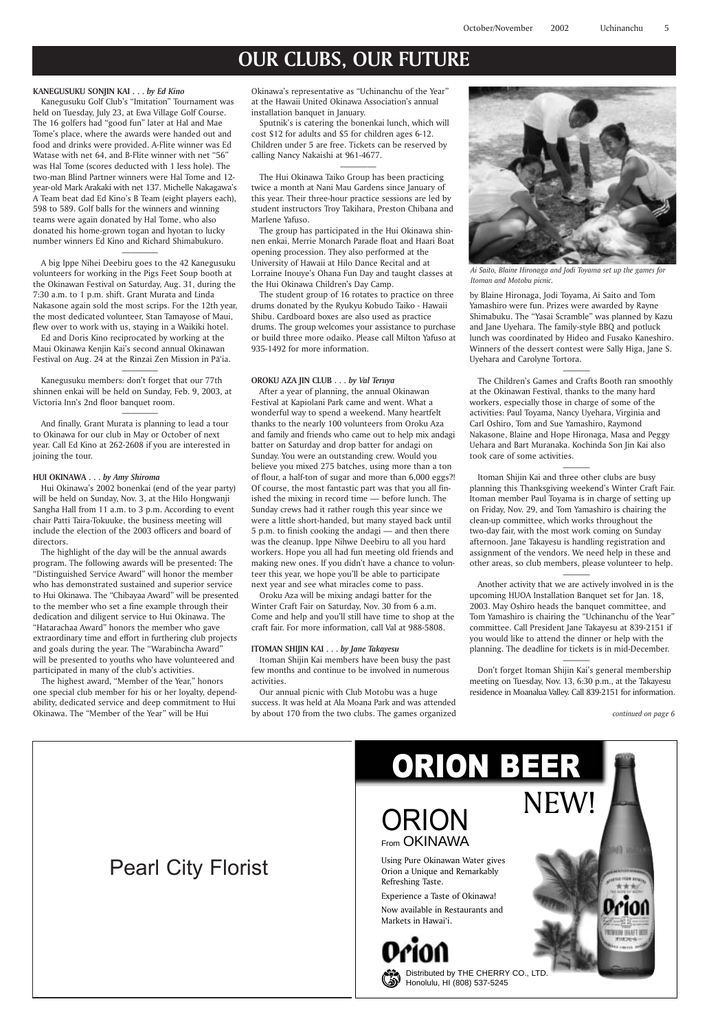## **OUR CLUBS, OUR FUTURE**

## Pearl City Florist

# From OKINAWA

Distributed by THE CHERRY CO., LT Honolulu, HI (808) 537-5245

Using Pure Okinawan Water gives Orion a Unique and Remarkably Refreshing Taste.



Experience a Taste of Okinawa! Now available in Restaurants and Markets in Hawai'i.

(ن



by Blaine Hironaga, Jodi Toyama, Ai Saito and Tom Yamashiro were fun. Prizes were awarded by Rayne Shimabuku. The "Yasai Scramble" was planned by Kazu and Jane Uyehara. The family-style BBQ and potluck lunch was coordinated by Hideo and Fusako Kaneshiro. Winners of the dessert contest were Sally Higa, Jane S. Uyehara and Carolyne Tortora.

———

The Children's Games and Crafts Booth ran smoothly at the Okinawan Festival, thanks to the many hard workers, especially those in charge of some of the activities: Paul Toyama, Nancy Uyehara, Virginia and Carl Oshiro, Tom and Sue Yamashiro, Raymond Nakasone, Blaine and Hope Hironaga, Masa and Peggy Uehara and Bart Muranaka. Kochinda Son Jin Kai also took care of some activities.

———

Itoman Shijin Kai and three other clubs are busy planning this Thanksgiving weekend's Winter Craft Fair. Itoman member Paul Toyama is in charge of setting up on Friday, Nov. 29, and Tom Yamashiro is chairing the clean-up committee, which works throughout the two-day fair, with the most work coming on Sunday afternoon. Jane Takayesu is handling registration and assignment of the vendors. We need help in these and other areas, so club members, please volunteer to help.

A big Ippe Nihei Deebiru goes to the 42 Kanegusuku volunteers for working in the Pigs Feet Soup booth at the Okinawan Festival on Saturday, Aug. 31, during the 7:30 a.m. to 1 p.m. shift. Grant Murata and Linda Nakasone again sold the most scrips. For the 12th year, the most dedicated volunteer, Stan Tamayose of Maui, flew over to work with us, staying in a Waikiki hotel.

———

Ed and Doris Kino reciprocated by working at the Maui Okinawa Kenjin Kai's second annual Okinawan Festival on Aug. 24 at the Rinzai Zen Mission in Pā'ia.

> Another activity that we are actively involved in is the upcoming HUOA Installation Banquet set for Jan. 18, 2003. May Oshiro heads the banquet committee, and Tom Yamashiro is chairing the "Uchinanchu of the Year" committee. Call President Jane Takayesu at 839-2151 if you would like to attend the dinner or help with the planning. The deadline for tickets is in mid-December.

> > ———

Don't forget Itoman Shijin Kai's general membership meeting on Tuesday, Nov. 13, 6:30 p.m., at the Takayesu residence in Moanalua Valley. Call 839-2151 for information.

#### **KANEGUSUKU SONJIN KAI . . .** *by Ed Kino*

Kanegusuku Golf Club's "Imitation" Tournament was held on Tuesday, July 23, at Ewa Village Golf Course. The 16 golfers had "good fun" later at Hal and Mae Tome's place, where the awards were handed out and food and drinks were provided. A-Flite winner was Ed Watase with net 64, and B-Flite winner with net "56" was Hal Tome (scores deducted with 1 less hole). The two-man Blind Partner winners were Hal Tome and 12 year-old Mark Arakaki with net 137. Michelle Nakagawa's A Team beat dad Ed Kino's B Team (eight players each), 598 to 589. Golf balls for the winners and winning teams were again donated by Hal Tome, who also donated his home-grown togan and hyotan to lucky number winners Ed Kino and Richard Shimabukuro.

————

————

Kanegusuku members: don't forget that our 77th shinnen enkai will be held on Sunday, Feb. 9, 2003, at Victoria Inn's 2nd floor banquet room.

————

And finally, Grant Murata is planning to lead a tour to Okinawa for our club in May or October of next year. Call Ed Kino at 262-2608 if you are interested in joining the tour.

#### **HUI OKINAWA . . .** *by Amy Shiroma*

Hui Okinawa's 2002 bonenkai (end of the year party) will be held on Sunday, Nov. 3, at the Hilo Hongwanji Sangha Hall from 11 a.m. to 3 p.m. According to event chair Patti Taira-Tokuuke, the business meeting will include the election of the 2003 officers and board of directors.

The highlight of the day will be the annual awards program. The following awards will be presented: The "Distinguished Service Award" will honor the member who has demonstrated sustained and superior service to Hui Okinawa. The "Chibayaa Award" will be presented to the member who set a fine example through their dedication and diligent service to Hui Okinawa. The "Hatarachaa Award" honors the member who gave extraordinary time and effort in furthering club projects and goals during the year. The "Warabincha Award" will be presented to youths who have volunteered and participated in many of the club's activities.

The highest award, "Member of the Year," honors one special club member for his or her loyalty, dependability, dedicated service and deep commitment to Hui Okinawa. The "Member of the Year" will be Hui

Okinawa's representative as "Uchinanchu of the Year" at the Hawaii United Okinawa Association's annual installation banquet in January.

Sputnik's is catering the bonenkai lunch, which will cost \$12 for adults and \$5 for children ages 6-12. Children under 5 are free. Tickets can be reserved by calling Nancy Nakaishi at 961-4677.

————

The Hui Okinawa Taiko Group has been practicing twice a month at Nani Mau Gardens since January of this year. Their three-hour practice sessions are led by student instructors Troy Takihara, Preston Chibana and Marlene Yafuso.

The group has participated in the Hui Okinawa shinnen enkai, Merrie Monarch Parade float and Haari Boat opening procession. They also performed at the University of Hawaii at Hilo Dance Recital and at Lorraine Inouye's Ohana Fun Day and taught classes at the Hui Okinawa Children's Day Camp.

The student group of 16 rotates to practice on three drums donated by the Ryukyu Kobudo Taiko - Hawaii Shibu. Cardboard boxes are also used as practice drums. The group welcomes your assistance to purchase or build three more odaiko. Please call Milton Yafuso at 935-1492 for more information.

#### **OROKU AZA JIN CLUB . . .** *by Val Teruya*

After a year of planning, the annual Okinawan Festival at Kapiolani Park came and went. What a wonderful way to spend a weekend. Many heartfelt thanks to the nearly 100 volunteers from Oroku Aza and family and friends who came out to help mix andagi batter on Saturday and drop batter for andagi on Sunday. You were an outstanding crew. Would you believe you mixed 275 batches, using more than a ton of flour, a half-ton of sugar and more than 6,000 eggs?! Of course, the most fantastic part was that you all finished the mixing in record time — before lunch. The Sunday crews had it rather rough this year since we were a little short-handed, but many stayed back until 5 p.m. to finish cooking the andagi — and then there was the cleanup. Ippe Nihwe Deebiru to all you hard workers. Hope you all had fun meeting old friends and making new ones. If you didn't have a chance to volunteer this year, we hope you'll be able to participate next year and see what miracles come to pass.

Oroku Aza will be mixing andagi batter for the Winter Craft Fair on Saturday, Nov. 30 from 6 a.m. Come and help and you'll still have time to shop at the craft fair. For more information, call Val at 988-5808.

#### **ITOMAN SHIJIN KAI . . .** *by Jane Takayesu*

Itoman Shijin Kai members have been busy the past few months and continue to be involved in numerous activities.

Our annual picnic with Club Motobu was a huge success. It was held at Ala Moana Park and was attended by about 170 from the two clubs. The games organized



*Ai Saito, Blaine Hironaga and Jodi Toyama set up the games for Itoman and Motobu picnic.*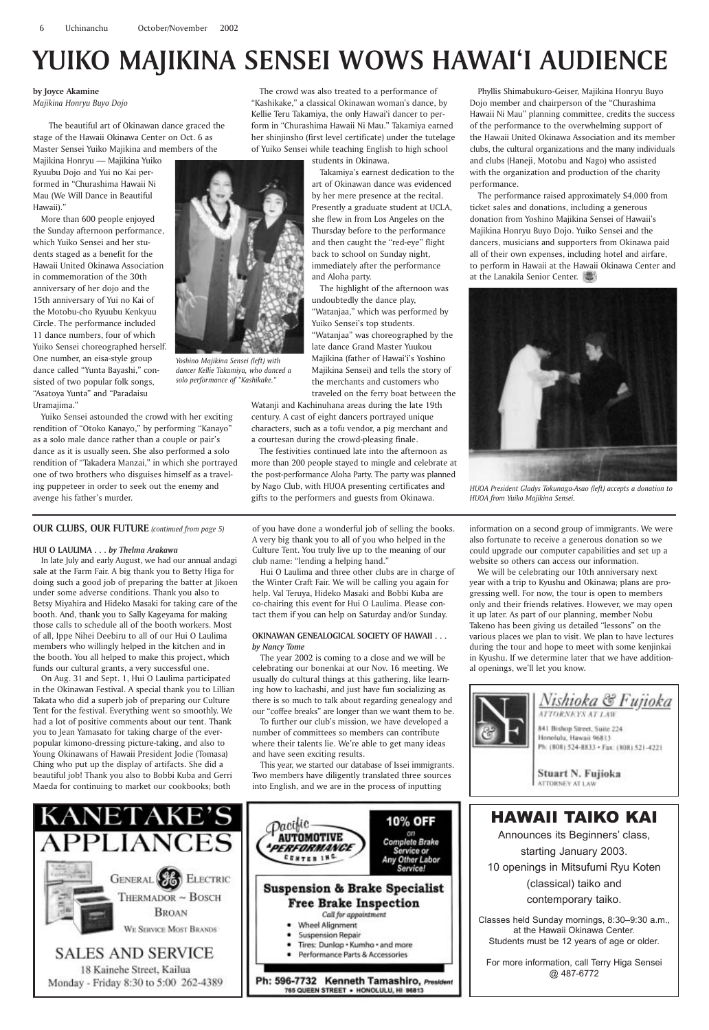**by Joyce Akamine** *Majikina Honryu Buyo Dojo*

The beautiful art of Okinawan dance graced the stage of the Hawaii Okinawa Center on Oct. 6 as Master Sensei Yuiko Majikina and members of the

Majikina Honryu — Majikina Yuiko Ryuubu Dojo and Yui no Kai performed in "Churashima Hawaii Ni Mau (We Will Dance in Beautiful Hawaii)."

More than 600 people enjoyed the Sunday afternoon performance, which Yuiko Sensei and her students staged as a benefit for the Hawaii United Okinawa Association in commemoration of the 30th anniversary of her dojo and the 15th anniversary of Yui no Kai of the Motobu-cho Ryuubu Kenkyuu Circle. The performance included 11 dance numbers, four of which Yuiko Sensei choreographed herself. One number, an eisa-style group dance called "Yunta Bayashi," consisted of two popular folk songs, "Asatoya Yunta" and "Paradaisu Uramajima."

Yuiko Sensei astounded the crowd with her exciting rendition of "Otoko Kanayo," by performing "Kanayo" as a solo male dance rather than a couple or pair's dance as it is usually seen. She also performed a solo rendition of "Takadera Manzai," in which she portrayed one of two brothers who disguises himself as a traveling puppeteer in order to seek out the enemy and avenge his father's murder.

The crowd was also treated to a performance of "Kashikake," a classical Okinawan woman's dance, by Kellie Teru Takamiya, the only Hawai'i dancer to perform in "Churashima Hawaii Ni Mau." Takamiya earned her shinjinsho (first level certificate) under the tutelage of Yuiko Sensei while teaching English to high school

students in Okinawa.

Takamiya's earnest dedication to the art of Okinawan dance was evidenced by her mere presence at the recital. Presently a graduate student at UCLA, she flew in from Los Angeles on the Thursday before to the performance and then caught the "red-eye" flight back to school on Sunday night, immediately after the performance and Aloha party.

The highlight of the afternoon was undoubtedly the dance play, "Watanjaa," which was performed by Yuiko Sensei's top students. "Watanjaa" was choreographed by the late dance Grand Master Yuukou Majikina (father of Hawai'i's Yoshino Majikina Sensei) and tells the story of the merchants and customers who traveled on the ferry boat between the

Watanji and Kachinuhana areas during the late 19th century. A cast of eight dancers portrayed unique characters, such as a tofu vendor, a pig merchant and a courtesan during the crowd-pleasing finale.

The festivities continued late into the afternoon as more than 200 people stayed to mingle and celebrate at the post-performance Aloha Party. The party was planned by Nago Club, with HUOA presenting certificates and gifts to the performers and guests from Okinawa.

Phyllis Shimabukuro-Geiser, Majikina Honryu Buyo Dojo member and chairperson of the "Churashima Hawaii Ni Mau" planning committee, credits the success of the performance to the overwhelming support of the Hawaii United Okinawa Association and its member clubs, the cultural organizations and the many individuals and clubs (Haneji, Motobu and Nago) who assisted with the organization and production of the charity performance.

The performance raised approximately \$4,000 from ticket sales and donations, including a generous donation from Yoshino Majikina Sensei of Hawaii's Majikina Honryu Buyo Dojo. Yuiko Sensei and the dancers, musicians and supporters from Okinawa paid all of their own expenses, including hotel and airfare, to perform in Hawaii at the Hawaii Okinawa Center and at the Lanakila Senior Center.



Announces its Beginners' class, starting January 2003. 10 openings in Mitsufumi Ryu Koten (classical) taiko and contemporary taiko.

## **YUIKO MAJIKINA SENSEI WOWS HAWAI'I AUDIENCE**

Classes held Sunday mornings, 8:30-9:30 a.m., at the Hawaii Okinawa Center. Students must be 12 years of age or older.

*HUOA President Gladys Tokunaga-Asao (left) accepts a donation to HUOA from Yuiko Majikina Sensei.*



*Yoshino Majikina Sensei (left) with dancer Kellie Takamiya, who danced a solo performance of "Kashikake."*

**OUR CLUBS, OUR FUTURE** *(continued from page 5)*

#### **HUI O LAULIMA . . .** *by Thelma Arakawa*

In late July and early August, we had our annual andagi sale at the Farm Fair. A big thank you to Betty Higa for doing such a good job of preparing the batter at Jikoen under some adverse conditions. Thank you also to Betsy Miyahira and Hideko Masaki for taking care of the booth. And, thank you to Sally Kageyama for making those calls to schedule all of the booth workers. Most of all, Ippe Nihei Deebiru to all of our Hui O Laulima members who willingly helped in the kitchen and in the booth. You all helped to make this project, which funds our cultural grants, a very successful one.

On Aug. 31 and Sept. 1, Hui O Laulima participated in the Okinawan Festival. A special thank you to Lillian Takata who did a superb job of preparing our Culture Tent for the festival. Everything went so smoothly. We had a lot of positive comments about our tent. Thank you to Jean Yamasato for taking charge of the everpopular kimono-dressing picture-taking, and also to Young Okinawans of Hawaii President Jodie (Tomasa) Ching who put up the display of artifacts. She did a beautiful job! Thank you also to Bobbi Kuba and Gerri Maeda for continuing to market our cookbooks; both

of you have done a wonderful job of selling the books. A very big thank you to all of you who helped in the Culture Tent. You truly live up to the meaning of our club name: "lending a helping hand."

Hui O Laulima and three other clubs are in charge of the Winter Craft Fair. We will be calling you again for help. Val Teruya, Hideko Masaki and Bobbi Kuba are co-chairing this event for Hui O Laulima. Please contact them if you can help on Saturday and/or Sunday.

#### **OKINAWAN GENEALOGICAL SOCIETY OF HAWAII . . .** *by Nancy Tome*

The year 2002 is coming to a close and we will be celebrating our bonenkai at our Nov. 16 meeting. We usually do cultural things at this gathering, like learning how to kachashi, and just have fun socializing as there is so much to talk about regarding genealogy and our "coffee breaks" are longer than we want them to be.

To further our club's mission, we have developed a number of committees so members can contribute where their talents lie. We're able to get many ideas and have seen exciting results.

This year, we started our database of Issei immigrants. Two members have diligently translated three sources into English, and we are in the process of inputting

information on a second group of immigrants. We were also fortunate to receive a generous donation so we could upgrade our computer capabilities and set up a website so others can access our information.

We will be celebrating our 10th anniversary next year with a trip to Kyushu and Okinawa; plans are progressing well. For now, the tour is open to members only and their friends relatives. However, we may open it up later. As part of our planning, member Nobu Takeno has been giving us detailed "lessons" on the various places we plan to visit. We plan to have lectures during the tour and hope to meet with some kenjinkai in Kyushu. If we determine later that we have additional openings, we'll let you know.







## HAWAII TAIKO KAI

For more information, call Terry Higa Sensei @ 487-6772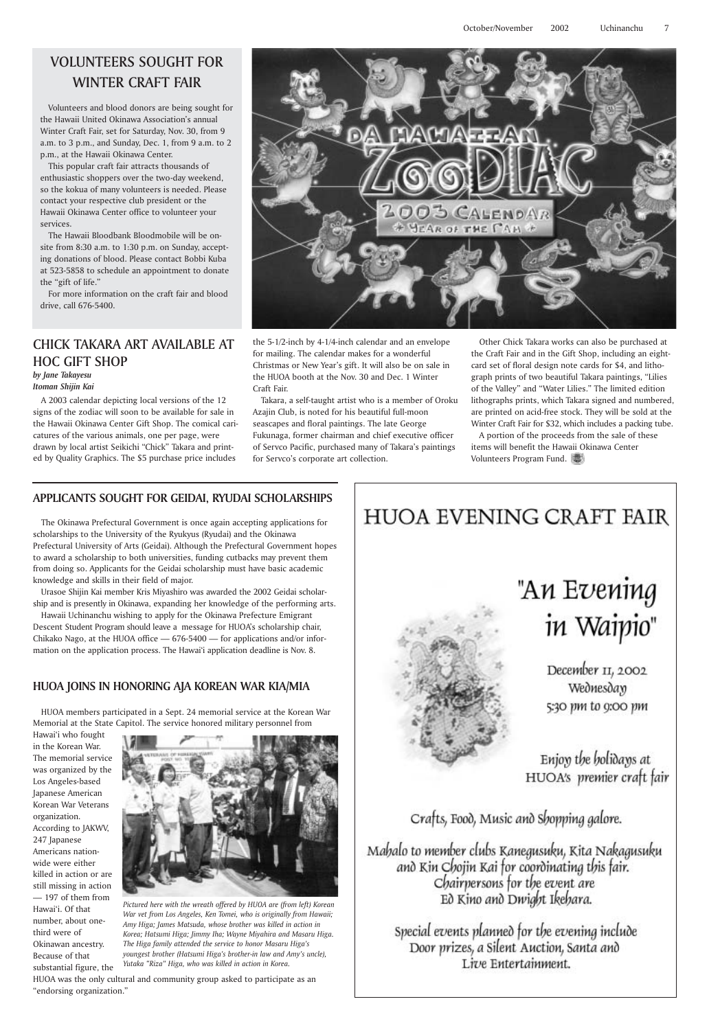## VOLUNTEERS SOUGHT FOR WINTER CRAFT FAIR

Volunteers and blood donors are being sought for the Hawaii United Okinawa Association's annual Winter Craft Fair, set for Saturday, Nov. 30, from 9 a.m. to 3 p.m., and Sunday, Dec. 1, from 9 a.m. to 2 p.m., at the Hawaii Okinawa Center.

This popular craft fair attracts thousands of enthusiastic shoppers over the two-day weekend, so the kokua of many volunteers is needed. Please contact your respective club president or the Hawaii Okinawa Center office to volunteer your services.

The Hawaii Bloodbank Bloodmobile will be onsite from 8:30 a.m. to 1:30 p.m. on Sunday, accepting donations of blood. Please contact Bobbi Kuba at 523-5858 to schedule an appointment to donate the "gift of life."

For more information on the craft fair and blood drive, call 676-5400.

#### CHICK TAKARA ART AVAILABLE AT HOC GIFT SHOP *by Jane Takayesu*

#### *Itoman Shijin Kai*

A 2003 calendar depicting local versions of the 12 signs of the zodiac will soon to be available for sale in the Hawaii Okinawa Center Gift Shop. The comical caricatures of the various animals, one per page, were drawn by local artist Seikichi "Chick" Takara and printed by Quality Graphics. The \$5 purchase price includes



### **APPLICANTS SOUGHT FOR GEIDAI, RYUDAI SCHOLARSHIPS**

The Okinawa Prefectural Government is once again accepting applications for scholarships to the University of the Ryukyus (Ryudai) and the Okinawa Prefectural University of Arts (Geidai). Although the Prefectural Government hopes to award a scholarship to both universities, funding cutbacks may prevent them from doing so. Applicants for the Geidai scholarship must have basic academic knowledge and skills in their field of major.

Urasoe Shijin Kai member Kris Miyashiro was awarded the 2002 Geidai scholarship and is presently in Okinawa, expanding her knowledge of the performing arts.

Hawaii Uchinanchu wishing to apply for the Okinawa Prefecture Emigrant Descent Student Program should leave a message for HUOA's scholarship chair, Chikako Nago, at the HUOA office — 676-5400 — for applications and/or information on the application process. The Hawai'i application deadline is Nov. 8.

#### **HUOA JOINS IN HONORING AJA KOREAN WAR KIA/MIA**

HUOA members participated in a Sept. 24 memorial service at the Korean War Memorial at the State Capitol. The service honored military personnel from

Hawai'i who fought in the Korean War. The memorial service was organized by the Los Angeles-based Japanese American Korean War Veterans organization. According to JAKWV, 247 Japanese Americans nationwide were either killed in action or are still missing in action — 197 of them from Hawai'i. Of that number, about onethird were of Okinawan ancestry. Because of that substantial figure, the HUOA was the only cultural and community group asked to participate as an "endorsing organization." *Pictured here with the wreath offered by HUOA are (from left) Korean The Higa family attended the service to honor Masaru Higa's Yutaka "Riza" Higa, who was killed in action in Korea.*



## HUOA EVENING CRAFT FAIR

in Waipio" December 11, 2002 Wednesday 5:30 pm to 9:00 pm

"Аи Еvening

Enjoy the holidays at HUOA's premier craft fair

*War vet from Los Angeles, Ken Tomei, who is originally from Hawaii; Amy Higa; James Matsuda, whose brother was killed in action in Korea; Hatsumi Higa; Jimmy Iha; Wayne Miyahira and Masaru Higa. youngest brother (Hatsumi Higa's brother-in law and Amy's uncle),*

Crafts, Food, Music and Shopping galore.

Mahalo to member clubs Kanegusuku, Kita Nakagusuku and Kin Chojin Kai for coordinating this fair. Chairpersons for the event are<br>Ed Kino and Dwight Ikehara.

Special events planned for the evening include Door prizes, a Silent Auction, Santa and Live Entertainment.

the 5-1/2-inch by 4-1/4-inch calendar and an envelope for mailing. The calendar makes for a wonderful Christmas or New Year's gift. It will also be on sale in the HUOA booth at the Nov. 30 and Dec. 1 Winter Craft Fair.

Takara, a self-taught artist who is a member of Oroku Azajin Club, is noted for his beautiful full-moon seascapes and floral paintings. The late George Fukunaga, former chairman and chief executive officer of Servco Pacific, purchased many of Takara's paintings for Servco's corporate art collection.

Other Chick Takara works can also be purchased at the Craft Fair and in the Gift Shop, including an eightcard set of floral design note cards for \$4, and lithograph prints of two beautiful Takara paintings, "Lilies of the Valley" and "Water Lilies." The limited edition lithographs prints, which Takara signed and numbered, are printed on acid-free stock. They will be sold at the Winter Craft Fair for \$32, which includes a packing tube.

A portion of the proceeds from the sale of these items will benefit the Hawaii Okinawa Center Volunteers Program Fund.